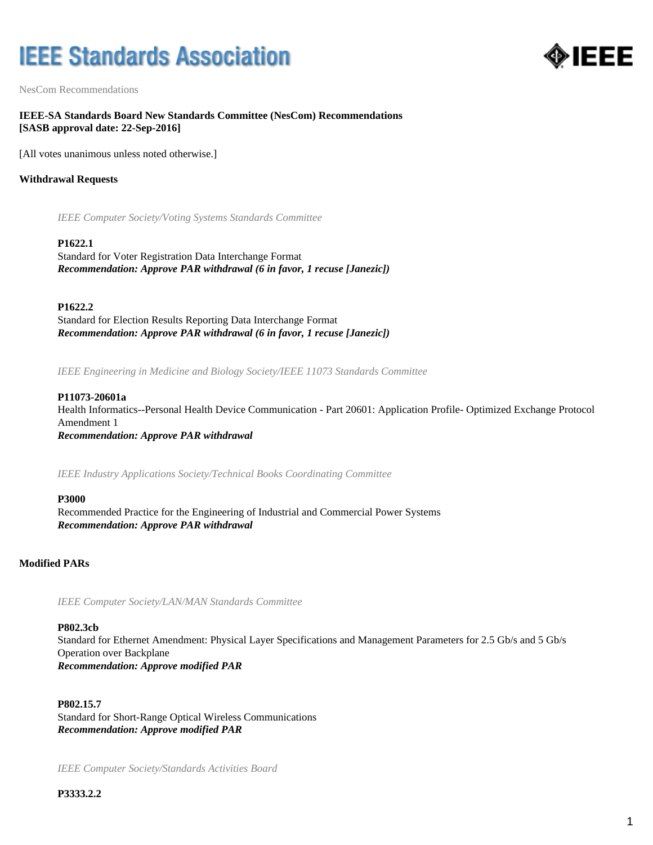# **IEEE Standards Association**



NesCom Recommendations

**IEEE-SA Standards Board New Standards Committee (NesCom) Recommendations [SASB approval date: 22-Sep-2016]**

[All votes unanimous unless noted otherwise.]

## **Withdrawal Requests**

*IEEE Computer Society/Voting Systems Standards Committee*

#### **P1622.1**

Standard for Voter Registration Data Interchange Format *Recommendation: Approve PAR withdrawal (6 in favor, 1 recuse [Janezic])*

**P1622.2**

Standard for Election Results Reporting Data Interchange Format *Recommendation: Approve PAR withdrawal (6 in favor, 1 recuse [Janezic])*

*IEEE Engineering in Medicine and Biology Society/IEEE 11073 Standards Committee*

## **P11073-20601a**

Health Informatics--Personal Health Device Communication - Part 20601: Application Profile- Optimized Exchange Protocol Amendment 1 *Recommendation: Approve PAR withdrawal*

*IEEE Industry Applications Society/Technical Books Coordinating Committee*

## **P3000**

Recommended Practice for the Engineering of Industrial and Commercial Power Systems *Recommendation: Approve PAR withdrawal*

## **Modified PARs**

*IEEE Computer Society/LAN/MAN Standards Committee*

## **P802.3cb**

Standard for Ethernet Amendment: Physical Layer Specifications and Management Parameters for 2.5 Gb/s and 5 Gb/s Operation over Backplane *Recommendation: Approve modified PAR*

**P802.15.7** Standard for Short-Range Optical Wireless Communications *Recommendation: Approve modified PAR*

*IEEE Computer Society/Standards Activities Board*

**P3333.2.2**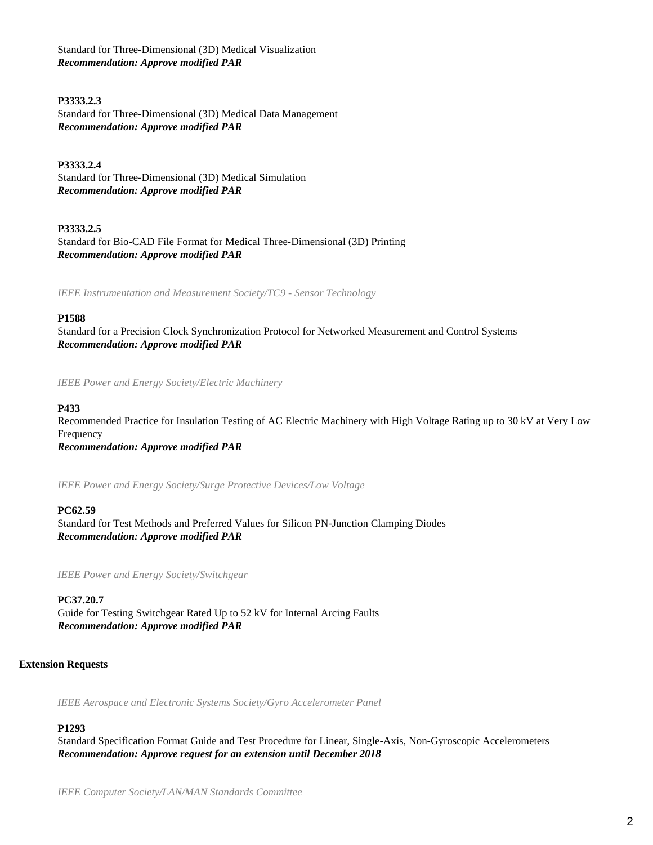Standard for Three-Dimensional (3D) Medical Visualization *Recommendation: Approve modified PAR*

## **P3333.2.3**

Standard for Three-Dimensional (3D) Medical Data Management *Recommendation: Approve modified PAR*

**P3333.2.4** Standard for Three-Dimensional (3D) Medical Simulation *Recommendation: Approve modified PAR*

**P3333.2.5** Standard for Bio-CAD File Format for Medical Three-Dimensional (3D) Printing *Recommendation: Approve modified PAR*

*IEEE Instrumentation and Measurement Society/TC9 - Sensor Technology*

#### **P1588**

Standard for a Precision Clock Synchronization Protocol for Networked Measurement and Control Systems *Recommendation: Approve modified PAR*

*IEEE Power and Energy Society/Electric Machinery*

#### **P433**

Recommended Practice for Insulation Testing of AC Electric Machinery with High Voltage Rating up to 30 kV at Very Low Frequency

*Recommendation: Approve modified PAR*

*IEEE Power and Energy Society/Surge Protective Devices/Low Voltage*

#### **PC62.59**

Standard for Test Methods and Preferred Values for Silicon PN-Junction Clamping Diodes *Recommendation: Approve modified PAR*

*IEEE Power and Energy Society/Switchgear*

**PC37.20.7** Guide for Testing Switchgear Rated Up to 52 kV for Internal Arcing Faults *Recommendation: Approve modified PAR*

#### **Extension Requests**

*IEEE Aerospace and Electronic Systems Society/Gyro Accelerometer Panel*

## **P1293**

Standard Specification Format Guide and Test Procedure for Linear, Single-Axis, Non-Gyroscopic Accelerometers *Recommendation: Approve request for an extension until December 2018*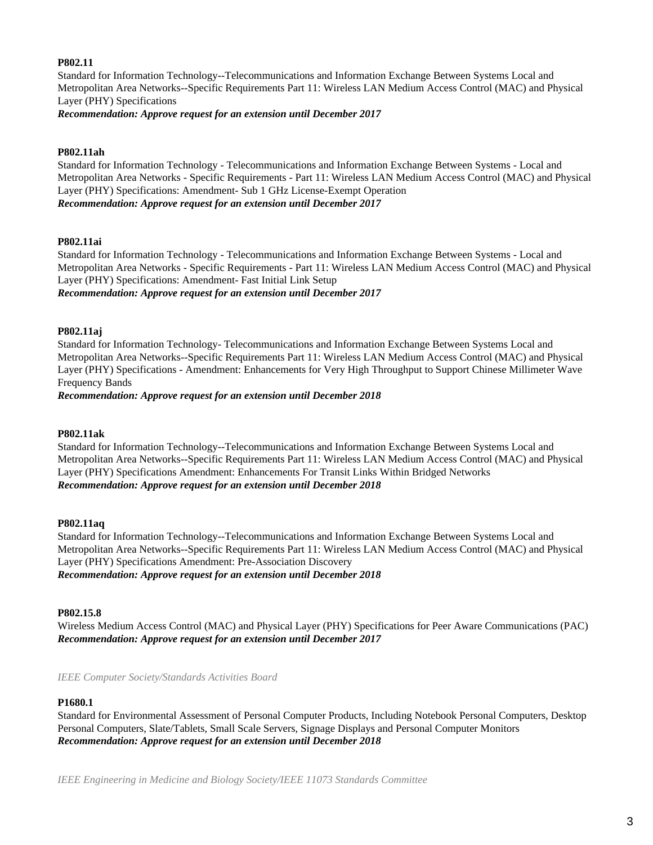#### **P802.11**

Standard for Information Technology--Telecommunications and Information Exchange Between Systems Local and Metropolitan Area Networks--Specific Requirements Part 11: Wireless LAN Medium Access Control (MAC) and Physical Layer (PHY) Specifications

*Recommendation: Approve request for an extension until December 2017*

## **P802.11ah**

Standard for Information Technology - Telecommunications and Information Exchange Between Systems - Local and Metropolitan Area Networks - Specific Requirements - Part 11: Wireless LAN Medium Access Control (MAC) and Physical Layer (PHY) Specifications: Amendment- Sub 1 GHz License-Exempt Operation *Recommendation: Approve request for an extension until December 2017*

#### **P802.11ai**

Standard for Information Technology - Telecommunications and Information Exchange Between Systems - Local and Metropolitan Area Networks - Specific Requirements - Part 11: Wireless LAN Medium Access Control (MAC) and Physical Layer (PHY) Specifications: Amendment- Fast Initial Link Setup *Recommendation: Approve request for an extension until December 2017*

#### **P802.11aj**

Standard for Information Technology- Telecommunications and Information Exchange Between Systems Local and Metropolitan Area Networks--Specific Requirements Part 11: Wireless LAN Medium Access Control (MAC) and Physical Layer (PHY) Specifications - Amendment: Enhancements for Very High Throughput to Support Chinese Millimeter Wave Frequency Bands

*Recommendation: Approve request for an extension until December 2018*

## **P802.11ak**

Standard for Information Technology--Telecommunications and Information Exchange Between Systems Local and Metropolitan Area Networks--Specific Requirements Part 11: Wireless LAN Medium Access Control (MAC) and Physical Layer (PHY) Specifications Amendment: Enhancements For Transit Links Within Bridged Networks *Recommendation: Approve request for an extension until December 2018*

#### **P802.11aq**

Standard for Information Technology--Telecommunications and Information Exchange Between Systems Local and Metropolitan Area Networks--Specific Requirements Part 11: Wireless LAN Medium Access Control (MAC) and Physical Layer (PHY) Specifications Amendment: Pre-Association Discovery *Recommendation: Approve request for an extension until December 2018*

#### **P802.15.8**

Wireless Medium Access Control (MAC) and Physical Layer (PHY) Specifications for Peer Aware Communications (PAC) *Recommendation: Approve request for an extension until December 2017*

*IEEE Computer Society/Standards Activities Board*

#### **P1680.1**

Standard for Environmental Assessment of Personal Computer Products, Including Notebook Personal Computers, Desktop Personal Computers, Slate/Tablets, Small Scale Servers, Signage Displays and Personal Computer Monitors *Recommendation: Approve request for an extension until December 2018*

*IEEE Engineering in Medicine and Biology Society/IEEE 11073 Standards Committee*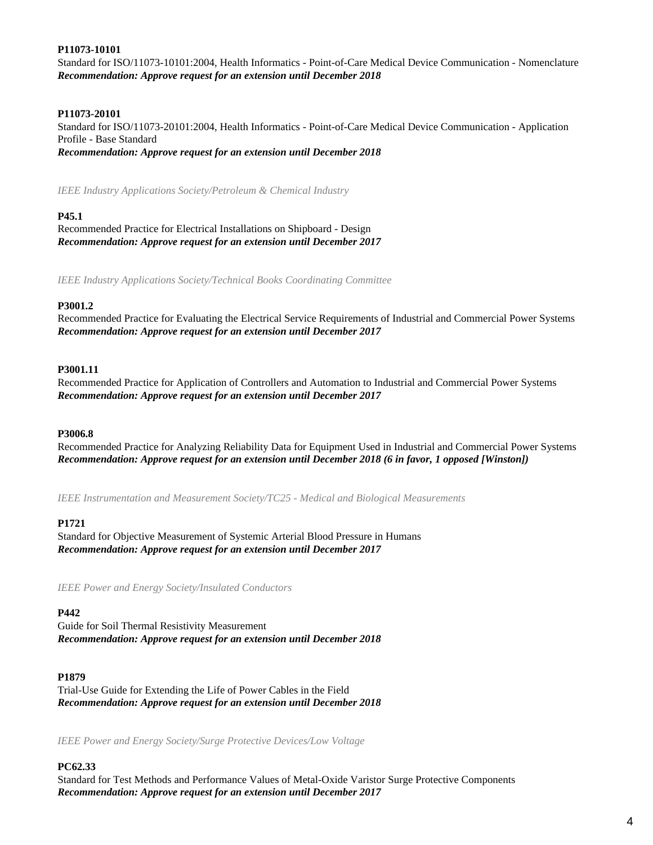## **P11073-10101**

Standard for ISO/11073-10101:2004, Health Informatics - Point-of-Care Medical Device Communication - Nomenclature *Recommendation: Approve request for an extension until December 2018*

## **P11073-20101**

Standard for ISO/11073-20101:2004, Health Informatics - Point-of-Care Medical Device Communication - Application Profile - Base Standard *Recommendation: Approve request for an extension until December 2018*

*IEEE Industry Applications Society/Petroleum & Chemical Industry*

## **P45.1**

Recommended Practice for Electrical Installations on Shipboard - Design *Recommendation: Approve request for an extension until December 2017*

*IEEE Industry Applications Society/Technical Books Coordinating Committee*

#### **P3001.2**

Recommended Practice for Evaluating the Electrical Service Requirements of Industrial and Commercial Power Systems *Recommendation: Approve request for an extension until December 2017*

#### **P3001.11**

Recommended Practice for Application of Controllers and Automation to Industrial and Commercial Power Systems *Recommendation: Approve request for an extension until December 2017*

#### **P3006.8**

Recommended Practice for Analyzing Reliability Data for Equipment Used in Industrial and Commercial Power Systems *Recommendation: Approve request for an extension until December 2018 (6 in favor, 1 opposed [Winston])*

*IEEE Instrumentation and Measurement Society/TC25 - Medical and Biological Measurements*

## **P1721**

Standard for Objective Measurement of Systemic Arterial Blood Pressure in Humans *Recommendation: Approve request for an extension until December 2017*

*IEEE Power and Energy Society/Insulated Conductors*

## **P442**

Guide for Soil Thermal Resistivity Measurement *Recommendation: Approve request for an extension until December 2018*

#### **P1879**

Trial-Use Guide for Extending the Life of Power Cables in the Field *Recommendation: Approve request for an extension until December 2018*

*IEEE Power and Energy Society/Surge Protective Devices/Low Voltage*

## **PC62.33**

Standard for Test Methods and Performance Values of Metal-Oxide Varistor Surge Protective Components *Recommendation: Approve request for an extension until December 2017*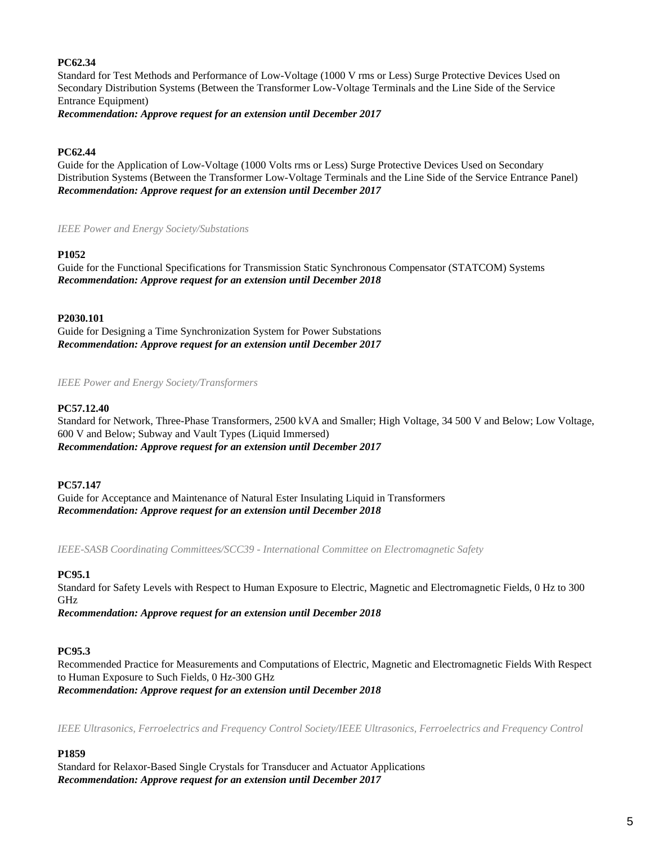## **PC62.34**

Standard for Test Methods and Performance of Low-Voltage (1000 V rms or Less) Surge Protective Devices Used on Secondary Distribution Systems (Between the Transformer Low-Voltage Terminals and the Line Side of the Service Entrance Equipment)

*Recommendation: Approve request for an extension until December 2017*

## **PC62.44**

Guide for the Application of Low-Voltage (1000 Volts rms or Less) Surge Protective Devices Used on Secondary Distribution Systems (Between the Transformer Low-Voltage Terminals and the Line Side of the Service Entrance Panel) *Recommendation: Approve request for an extension until December 2017*

*IEEE Power and Energy Society/Substations*

## **P1052**

Guide for the Functional Specifications for Transmission Static Synchronous Compensator (STATCOM) Systems *Recommendation: Approve request for an extension until December 2018*

**P2030.101**

Guide for Designing a Time Synchronization System for Power Substations *Recommendation: Approve request for an extension until December 2017*

*IEEE Power and Energy Society/Transformers*

## **PC57.12.40**

Standard for Network, Three-Phase Transformers, 2500 kVA and Smaller; High Voltage, 34 500 V and Below; Low Voltage, 600 V and Below; Subway and Vault Types (Liquid Immersed) *Recommendation: Approve request for an extension until December 2017*

## **PC57.147**

Guide for Acceptance and Maintenance of Natural Ester Insulating Liquid in Transformers *Recommendation: Approve request for an extension until December 2018*

*IEEE-SASB Coordinating Committees/SCC39 - International Committee on Electromagnetic Safety*

## **PC95.1**

Standard for Safety Levels with Respect to Human Exposure to Electric, Magnetic and Electromagnetic Fields, 0 Hz to 300 GHz *Recommendation: Approve request for an extension until December 2018*

## **PC95.3**

Recommended Practice for Measurements and Computations of Electric, Magnetic and Electromagnetic Fields With Respect to Human Exposure to Such Fields, 0 Hz-300 GHz *Recommendation: Approve request for an extension until December 2018*

*IEEE Ultrasonics, Ferroelectrics and Frequency Control Society/IEEE Ultrasonics, Ferroelectrics and Frequency Control*

## **P1859**

Standard for Relaxor-Based Single Crystals for Transducer and Actuator Applications *Recommendation: Approve request for an extension until December 2017*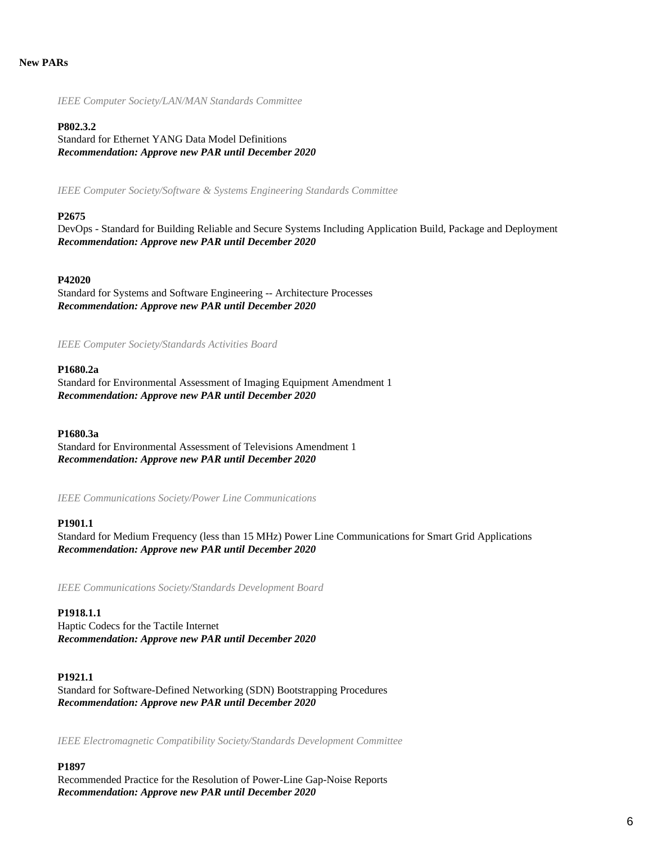#### **New PARs**

*IEEE Computer Society/LAN/MAN Standards Committee*

#### **P802.3.2**

Standard for Ethernet YANG Data Model Definitions *Recommendation: Approve new PAR until December 2020*

*IEEE Computer Society/Software & Systems Engineering Standards Committee*

#### **P2675**

DevOps - Standard for Building Reliable and Secure Systems Including Application Build, Package and Deployment *Recommendation: Approve new PAR until December 2020*

#### **P42020**

Standard for Systems and Software Engineering -- Architecture Processes *Recommendation: Approve new PAR until December 2020*

*IEEE Computer Society/Standards Activities Board*

## **P1680.2a**

Standard for Environmental Assessment of Imaging Equipment Amendment 1 *Recommendation: Approve new PAR until December 2020*

#### **P1680.3a**

Standard for Environmental Assessment of Televisions Amendment 1 *Recommendation: Approve new PAR until December 2020*

*IEEE Communications Society/Power Line Communications*

#### **P1901.1**

Standard for Medium Frequency (less than 15 MHz) Power Line Communications for Smart Grid Applications *Recommendation: Approve new PAR until December 2020*

*IEEE Communications Society/Standards Development Board*

#### **P1918.1.1**

Haptic Codecs for the Tactile Internet *Recommendation: Approve new PAR until December 2020*

#### **P1921.1**

Standard for Software-Defined Networking (SDN) Bootstrapping Procedures *Recommendation: Approve new PAR until December 2020*

*IEEE Electromagnetic Compatibility Society/Standards Development Committee*

#### **P1897**

Recommended Practice for the Resolution of Power-Line Gap-Noise Reports *Recommendation: Approve new PAR until December 2020*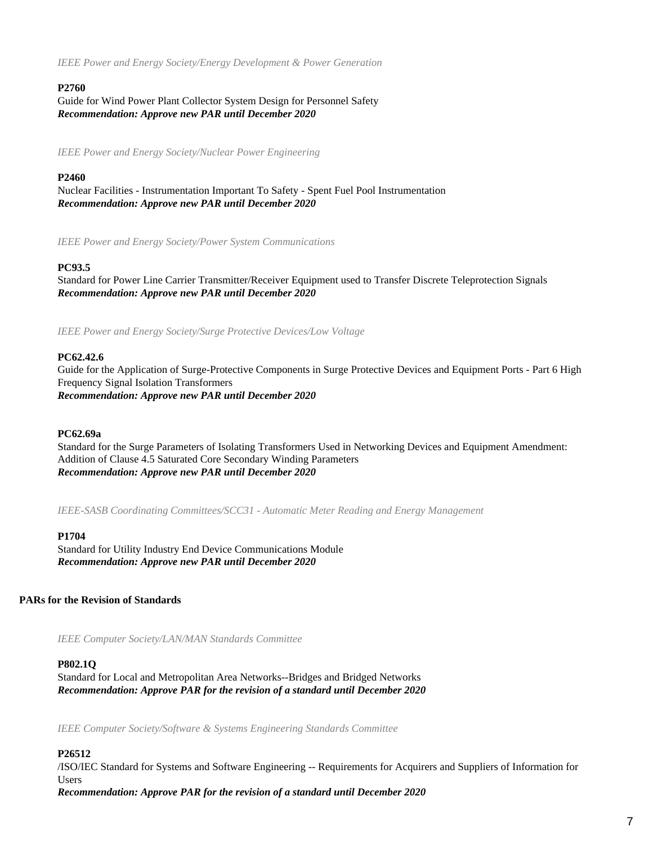*IEEE Power and Energy Society/Energy Development & Power Generation*

## **P2760**

Guide for Wind Power Plant Collector System Design for Personnel Safety *Recommendation: Approve new PAR until December 2020*

*IEEE Power and Energy Society/Nuclear Power Engineering*

## **P2460**

Nuclear Facilities - Instrumentation Important To Safety - Spent Fuel Pool Instrumentation *Recommendation: Approve new PAR until December 2020*

*IEEE Power and Energy Society/Power System Communications*

## **PC93.5**

Standard for Power Line Carrier Transmitter/Receiver Equipment used to Transfer Discrete Teleprotection Signals *Recommendation: Approve new PAR until December 2020*

*IEEE Power and Energy Society/Surge Protective Devices/Low Voltage*

#### **PC62.42.6**

Guide for the Application of Surge-Protective Components in Surge Protective Devices and Equipment Ports - Part 6 High Frequency Signal Isolation Transformers *Recommendation: Approve new PAR until December 2020*

#### **PC62.69a**

Standard for the Surge Parameters of Isolating Transformers Used in Networking Devices and Equipment Amendment: Addition of Clause 4.5 Saturated Core Secondary Winding Parameters *Recommendation: Approve new PAR until December 2020*

*IEEE-SASB Coordinating Committees/SCC31 - Automatic Meter Reading and Energy Management*

#### **P1704**

Standard for Utility Industry End Device Communications Module *Recommendation: Approve new PAR until December 2020*

## **PARs for the Revision of Standards**

*IEEE Computer Society/LAN/MAN Standards Committee*

#### **P802.1Q**

Standard for Local and Metropolitan Area Networks--Bridges and Bridged Networks *Recommendation: Approve PAR for the revision of a standard until December 2020*

*IEEE Computer Society/Software & Systems Engineering Standards Committee*

## **P26512**

/ISO/IEC Standard for Systems and Software Engineering -- Requirements for Acquirers and Suppliers of Information for Users

*Recommendation: Approve PAR for the revision of a standard until December 2020*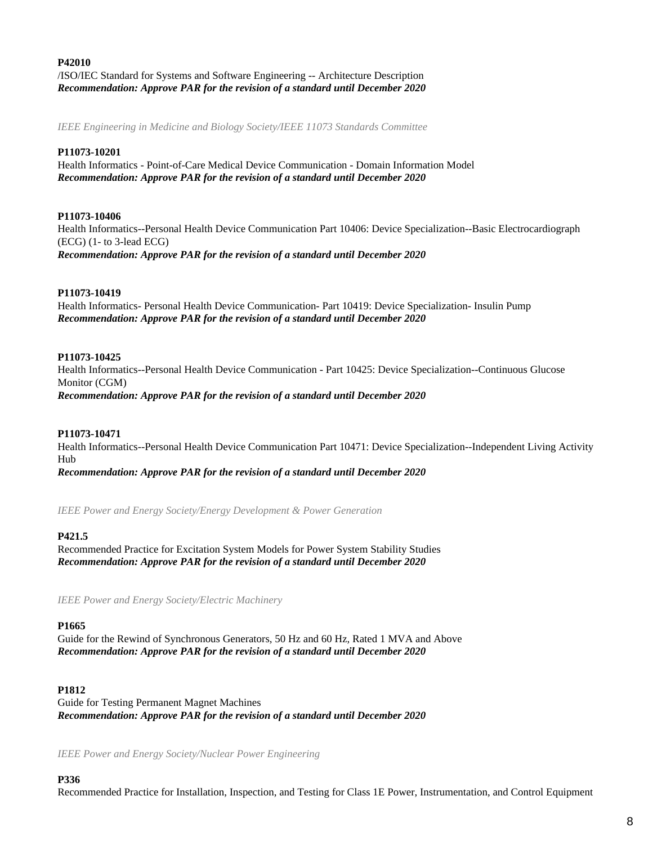## **P42010** /ISO/IEC Standard for Systems and Software Engineering -- Architecture Description *Recommendation: Approve PAR for the revision of a standard until December 2020*

*IEEE Engineering in Medicine and Biology Society/IEEE 11073 Standards Committee*

## **P11073-10201**

Health Informatics - Point-of-Care Medical Device Communication - Domain Information Model *Recommendation: Approve PAR for the revision of a standard until December 2020*

## **P11073-10406**

Health Informatics--Personal Health Device Communication Part 10406: Device Specialization--Basic Electrocardiograph (ECG) (1- to 3-lead ECG) *Recommendation: Approve PAR for the revision of a standard until December 2020*

#### **P11073-10419**

Health Informatics- Personal Health Device Communication- Part 10419: Device Specialization- Insulin Pump *Recommendation: Approve PAR for the revision of a standard until December 2020*

#### **P11073-10425**

Health Informatics--Personal Health Device Communication - Part 10425: Device Specialization--Continuous Glucose Monitor (CGM)

*Recommendation: Approve PAR for the revision of a standard until December 2020*

#### **P11073-10471**

Health Informatics--Personal Health Device Communication Part 10471: Device Specialization--Independent Living Activity Hub

*Recommendation: Approve PAR for the revision of a standard until December 2020*

*IEEE Power and Energy Society/Energy Development & Power Generation*

#### **P421.5**

Recommended Practice for Excitation System Models for Power System Stability Studies *Recommendation: Approve PAR for the revision of a standard until December 2020*

*IEEE Power and Energy Society/Electric Machinery*

#### **P1665**

Guide for the Rewind of Synchronous Generators, 50 Hz and 60 Hz, Rated 1 MVA and Above *Recommendation: Approve PAR for the revision of a standard until December 2020*

#### **P1812**

Guide for Testing Permanent Magnet Machines *Recommendation: Approve PAR for the revision of a standard until December 2020*

*IEEE Power and Energy Society/Nuclear Power Engineering*

#### **P336**

Recommended Practice for Installation, Inspection, and Testing for Class 1E Power, Instrumentation, and Control Equipment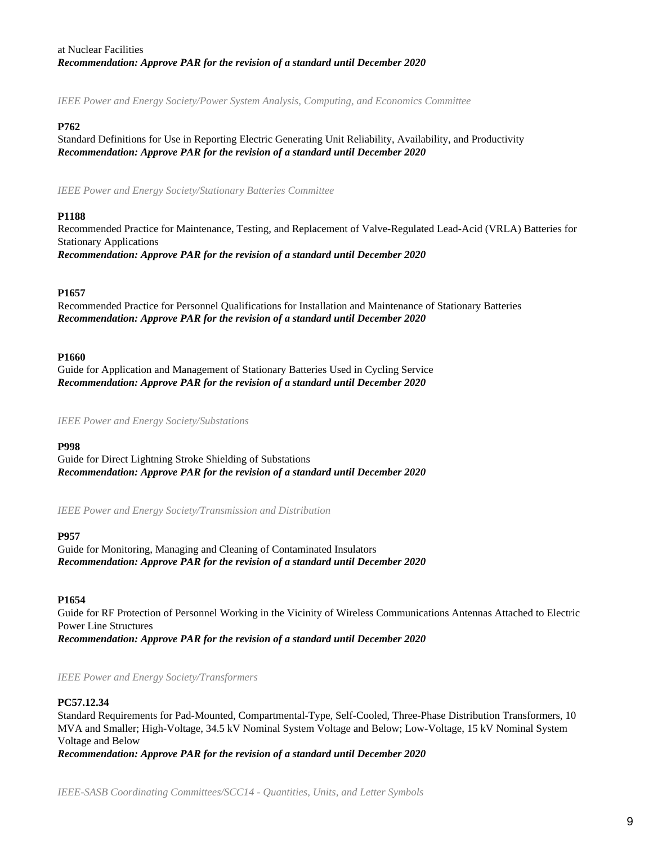## at Nuclear Facilities *Recommendation: Approve PAR for the revision of a standard until December 2020*

*IEEE Power and Energy Society/Power System Analysis, Computing, and Economics Committee*

## **P762**

Standard Definitions for Use in Reporting Electric Generating Unit Reliability, Availability, and Productivity *Recommendation: Approve PAR for the revision of a standard until December 2020*

*IEEE Power and Energy Society/Stationary Batteries Committee*

## **P1188**

Recommended Practice for Maintenance, Testing, and Replacement of Valve-Regulated Lead-Acid (VRLA) Batteries for Stationary Applications *Recommendation: Approve PAR for the revision of a standard until December 2020*

## **P1657**

Recommended Practice for Personnel Qualifications for Installation and Maintenance of Stationary Batteries *Recommendation: Approve PAR for the revision of a standard until December 2020*

## **P1660**

Guide for Application and Management of Stationary Batteries Used in Cycling Service *Recommendation: Approve PAR for the revision of a standard until December 2020*

*IEEE Power and Energy Society/Substations*

## **P998**

Guide for Direct Lightning Stroke Shielding of Substations *Recommendation: Approve PAR for the revision of a standard until December 2020*

*IEEE Power and Energy Society/Transmission and Distribution*

## **P957**

Guide for Monitoring, Managing and Cleaning of Contaminated Insulators *Recommendation: Approve PAR for the revision of a standard until December 2020*

## **P1654**

Guide for RF Protection of Personnel Working in the Vicinity of Wireless Communications Antennas Attached to Electric Power Line Structures *Recommendation: Approve PAR for the revision of a standard until December 2020*

## *IEEE Power and Energy Society/Transformers*

## **PC57.12.34**

Standard Requirements for Pad-Mounted, Compartmental-Type, Self-Cooled, Three-Phase Distribution Transformers, 10 MVA and Smaller; High-Voltage, 34.5 kV Nominal System Voltage and Below; Low-Voltage, 15 kV Nominal System Voltage and Below

*Recommendation: Approve PAR for the revision of a standard until December 2020*